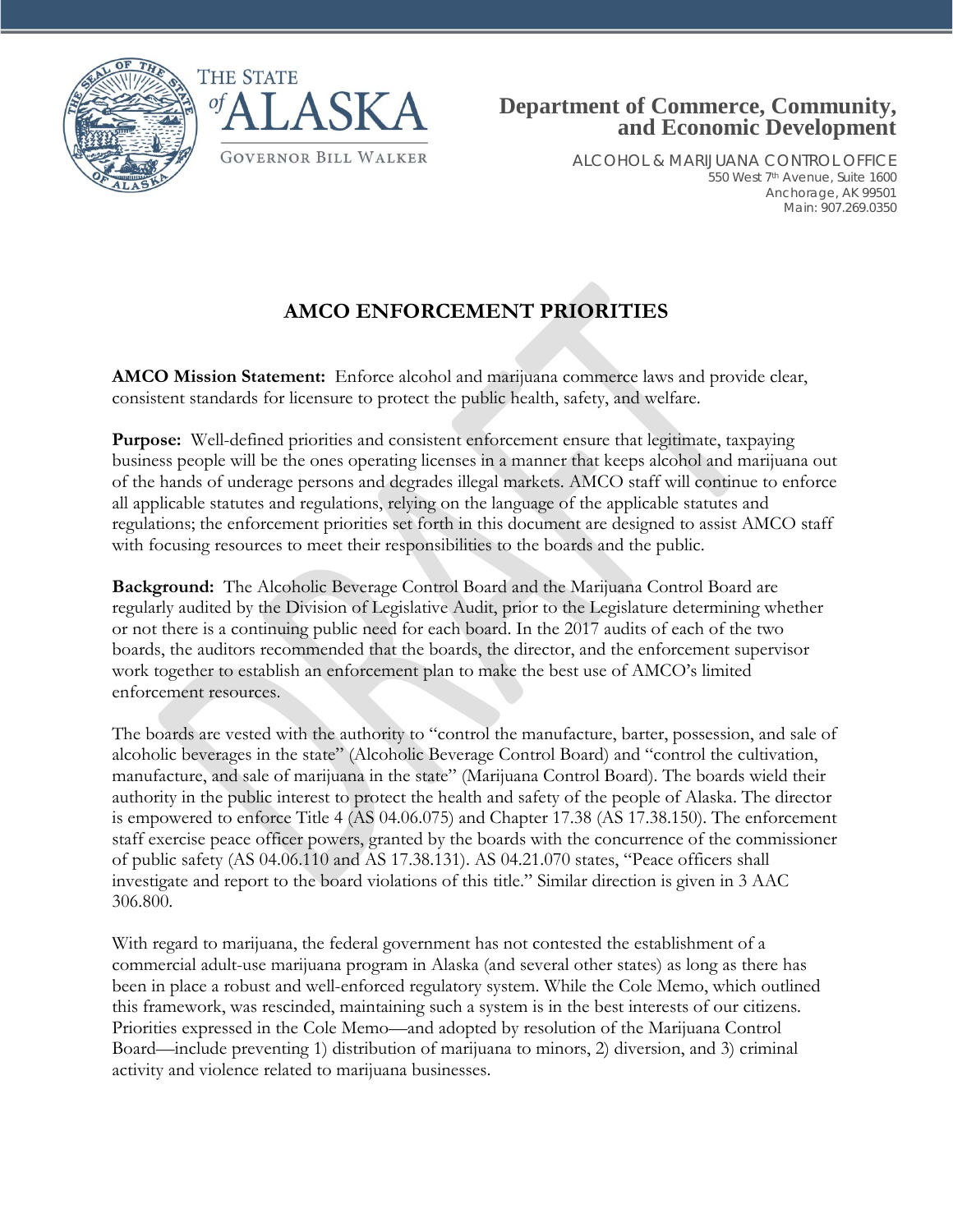



ALCOHOL & MARIJUANA CONTROL OFFICE 550 West 7th Avenue, Suite 1600 Anchorage, AK 99501 Main: 907.269.0350

## **AMCO ENFORCEMENT PRIORITIES**

**AMCO Mission Statement:** Enforce alcohol and marijuana commerce laws and provide clear, consistent standards for licensure to protect the public health, safety, and welfare.

**Purpose:** Well-defined priorities and consistent enforcement ensure that legitimate, taxpaying business people will be the ones operating licenses in a manner that keeps alcohol and marijuana out of the hands of underage persons and degrades illegal markets. AMCO staff will continue to enforce all applicable statutes and regulations, relying on the language of the applicable statutes and regulations; the enforcement priorities set forth in this document are designed to assist AMCO staff with focusing resources to meet their responsibilities to the boards and the public.

**Background:** The Alcoholic Beverage Control Board and the Marijuana Control Board are regularly audited by the Division of Legislative Audit, prior to the Legislature determining whether or not there is a continuing public need for each board. In the 2017 audits of each of the two boards, the auditors recommended that the boards, the director, and the enforcement supervisor work together to establish an enforcement plan to make the best use of AMCO's limited enforcement resources.

The boards are vested with the authority to "control the manufacture, barter, possession, and sale of alcoholic beverages in the state" (Alcoholic Beverage Control Board) and "control the cultivation, manufacture, and sale of marijuana in the state" (Marijuana Control Board). The boards wield their authority in the public interest to protect the health and safety of the people of Alaska. The director is empowered to enforce Title 4 (AS 04.06.075) and Chapter 17.38 (AS 17.38.150). The enforcement staff exercise peace officer powers, granted by the boards with the concurrence of the commissioner of public safety (AS 04.06.110 and AS 17.38.131). AS 04.21.070 states, "Peace officers shall investigate and report to the board violations of this title." Similar direction is given in 3 AAC 306.800.

With regard to marijuana, the federal government has not contested the establishment of a commercial adult-use marijuana program in Alaska (and several other states) as long as there has been in place a robust and well-enforced regulatory system. While the Cole Memo, which outlined this framework, was rescinded, maintaining such a system is in the best interests of our citizens. Priorities expressed in the Cole Memo—and adopted by resolution of the Marijuana Control Board—include preventing 1) distribution of marijuana to minors, 2) diversion, and 3) criminal activity and violence related to marijuana businesses.